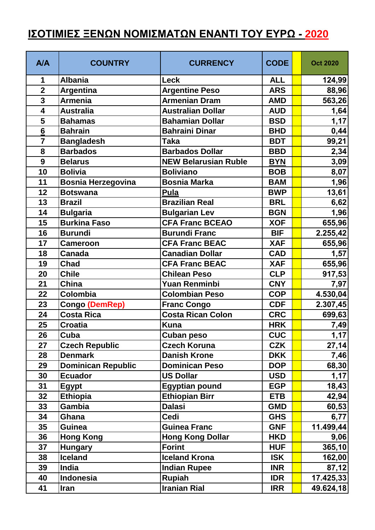## **ΙΣΟΤΙΜΙΕΣ ΞΕΝΩΝ ΝΟΜΙΣΜΑΤΩΝ ΕΝΑΝΤΙ ΤΟΥ ΕΥΡΩ - 2020**

| <b>A/A</b>              | <b>COUNTRY</b>            | <b>CURRENCY</b>             | <b>CODE</b> | <b>Oct 2020</b> |
|-------------------------|---------------------------|-----------------------------|-------------|-----------------|
| 1                       | <b>Albania</b>            | Leck                        | <b>ALL</b>  | 124,99          |
| $\overline{2}$          | <b>Argentina</b>          | <b>Argentine Peso</b>       | <b>ARS</b>  | 88,96           |
| $\overline{\mathbf{3}}$ | <b>Armenia</b>            | <b>Armenian Dram</b>        | <b>AMD</b>  | 563,26          |
| $\overline{\mathbf{4}}$ | <b>Australia</b>          | <b>Australian Dollar</b>    | <b>AUD</b>  | 1,64            |
| 5                       | <b>Bahamas</b>            | <b>Bahamian Dollar</b>      | <b>BSD</b>  | 1,17            |
| $6\phantom{1}6$         | <b>Bahrain</b>            | <b>Bahraini Dinar</b>       | <b>BHD</b>  | 0,44            |
| $\overline{7}$          | <b>Bangladesh</b>         | <b>Taka</b>                 | <b>BDT</b>  | 99,21           |
| 8                       | <b>Barbados</b>           | <b>Barbados Dollar</b>      | <b>BBD</b>  | 2,34            |
| 9                       | <b>Belarus</b>            | <b>NEW Belarusian Ruble</b> | <b>BYN</b>  | 3,09            |
| 10                      | <b>Bolivia</b>            | <b>Boliviano</b>            | <b>BOB</b>  | 8,07            |
| 11                      | Bosnia Herzegovina        | <b>Bosnia Marka</b>         | <b>BAM</b>  | 1,96            |
| 12                      | <b>Botswana</b>           | <b>Pula</b>                 | <b>BWP</b>  | 13,61           |
| 13                      | <b>Brazil</b>             | <b>Brazilian Real</b>       | <b>BRL</b>  | 6,62            |
| 14                      | <b>Bulgaria</b>           | <b>Bulgarian Lev</b>        | <b>BGN</b>  | 1,96            |
| 15                      | <b>Burkina Faso</b>       | <b>CFA Franc BCEAO</b>      | <b>XOF</b>  | 655,96          |
| 16                      | <b>Burundi</b>            | <b>Burundi Franc</b>        | <b>BIF</b>  | 2.255,42        |
| 17                      | <b>Cameroon</b>           | <b>CFA Franc BEAC</b>       | <b>XAF</b>  | 655,96          |
| 18                      | <b>Canada</b>             | <b>Canadian Dollar</b>      | <b>CAD</b>  | 1,57            |
| 19                      | <b>Chad</b>               | <b>CFA Franc BEAC</b>       | <b>XAF</b>  | 655,96          |
| 20                      | <b>Chile</b>              | <b>Chilean Peso</b>         | <b>CLP</b>  | 917,53          |
| 21                      | China                     | <b>Yuan Renminbi</b>        | <b>CNY</b>  | 7,97            |
| 22                      | Colombia                  | <b>Colombian Peso</b>       | <b>COP</b>  | 4.530,04        |
| 23                      | <b>Congo (DemRep)</b>     | <b>Franc Congo</b>          | <b>CDF</b>  | 2.307,45        |
| 24                      | <b>Costa Rica</b>         | <b>Costa Rican Colon</b>    | <b>CRC</b>  | 699,63          |
| 25                      | <b>Croatia</b>            | <b>Kuna</b>                 | <b>HRK</b>  | 7,49            |
| 26                      | Cuba                      | Cuban peso                  | <b>CUC</b>  | 1,17            |
| 27                      | <b>Czech Republic</b>     | <b>Czech Koruna</b>         | <b>CZK</b>  | 27,14           |
| 28                      | <b>Denmark</b>            | <b>Danish Krone</b>         | <b>DKK</b>  | 7,46            |
| 29                      | <b>Dominican Republic</b> | <b>Dominican Peso</b>       | <b>DOP</b>  | 68,30           |
| 30                      | <b>Ecuador</b>            | <b>US Dollar</b>            | <b>USD</b>  | 1,17            |
| 31                      | <b>Egypt</b>              | <b>Egyptian pound</b>       | <b>EGP</b>  | 18,43           |
| 32                      | <b>Ethiopia</b>           | <b>Ethiopian Birr</b>       | <b>ETB</b>  | 42,94           |
| 33                      | Gambia                    | <b>Dalasi</b>               | <b>GMD</b>  | 60,53           |
| 34                      | Ghana                     | <b>Cedi</b>                 | <b>GHS</b>  | 6,77            |
| 35                      | <b>Guinea</b>             | <b>Guinea Franc</b>         | <b>GNF</b>  | 11.499,44       |
| 36                      | <b>Hong Kong</b>          | <b>Hong Kong Dollar</b>     | <b>HKD</b>  | 9,06            |
| 37                      | <b>Hungary</b>            | <b>Forint</b>               | <b>HUF</b>  | 365,10          |
| 38                      | <b>Iceland</b>            | <b>Iceland Krona</b>        | <b>ISK</b>  | 162,00          |
| 39                      | <b>India</b>              | <b>Indian Rupee</b>         | <b>INR</b>  | 87,12           |
| 40                      | Indonesia                 | <b>Rupiah</b>               | <b>IDR</b>  | 17.425,33       |
| 41                      | <b>Iran</b>               | <b>Iranian Rial</b>         | <b>IRR</b>  | 49.624,18       |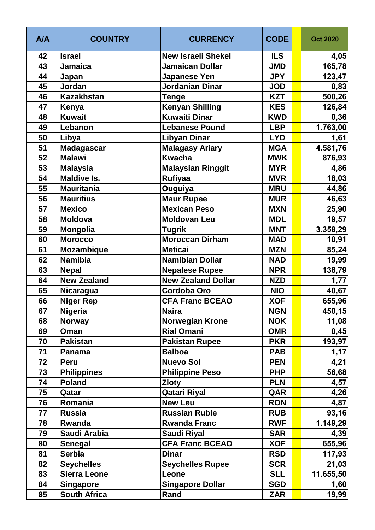| <b>A/A</b> | <b>COUNTRY</b>      | <b>CURRENCY</b>           | <b>CODE</b> | <b>Oct 2020</b> |
|------------|---------------------|---------------------------|-------------|-----------------|
| 42         | <b>Israel</b>       | <b>New Israeli Shekel</b> | <b>ILS</b>  | 4,05            |
| 43         | <b>Jamaica</b>      | Jamaican Dollar           | <b>JMD</b>  | 165,78          |
| 44         | Japan               | Japanese Yen              | <b>JPY</b>  | 123,47          |
| 45         | Jordan              | Jordanian Dinar           | <b>JOD</b>  | 0,83            |
| 46         | <b>Kazakhstan</b>   | Tenge                     | <b>KZT</b>  | 500,26          |
| 47         | Kenya               | <b>Kenyan Shilling</b>    | <b>KES</b>  | 126,84          |
| 48         | <b>Kuwait</b>       | <b>Kuwaiti Dinar</b>      | <b>KWD</b>  | 0,36            |
| 49         | Lebanon             | <b>Lebanese Pound</b>     | <b>LBP</b>  | 1.763,00        |
| 50         | Libya               | <b>Libyan Dinar</b>       | <b>LYD</b>  | 1,61            |
| 51         | <b>Madagascar</b>   | <b>Malagasy Ariary</b>    | <b>MGA</b>  | 4.581,76        |
| 52         | <b>Malawi</b>       | <b>Kwacha</b>             | <b>MWK</b>  | 876,93          |
| 53         | <b>Malaysia</b>     | <b>Malaysian Ringgit</b>  | <b>MYR</b>  | 4,86            |
| 54         | <b>Maldive Is.</b>  | <b>Rufiyaa</b>            | <b>MVR</b>  | 18,03           |
| 55         | <b>Mauritania</b>   | Ouguiya                   | <b>MRU</b>  | 44,86           |
| 56         | <b>Mauritius</b>    | <b>Maur Rupee</b>         | <b>MUR</b>  | 46,63           |
| 57         | <b>Mexico</b>       | <b>Mexican Peso</b>       | <b>MXN</b>  | 25,90           |
| 58         | <b>Moldova</b>      | <b>Moldovan Leu</b>       | <b>MDL</b>  | 19,57           |
| 59         | Mongolia            | <b>Tugrik</b>             | <b>MNT</b>  | 3.358,29        |
| 60         | <b>Morocco</b>      | <b>Moroccan Dirham</b>    | <b>MAD</b>  | 10,91           |
| 61         | <b>Mozambique</b>   | <b>Meticai</b>            | <b>MZN</b>  | 85,24           |
| 62         | <b>Namibia</b>      | <b>Namibian Dollar</b>    | <b>NAD</b>  | 19,99           |
| 63         | <b>Nepal</b>        | <b>Nepalese Rupee</b>     | <b>NPR</b>  | 138,79          |
| 64         | <b>New Zealand</b>  | <b>New Zealand Dollar</b> | <b>NZD</b>  | 1,77            |
| 65         | Nicaragua           | <b>Cordoba Oro</b>        | <b>NIO</b>  | 40,67           |
| 66         | <b>Niger Rep</b>    | <b>CFA Franc BCEAO</b>    | <b>XOF</b>  | 655,96          |
| 67         | Nigeria             | <b>Naira</b>              | <b>NGN</b>  | 450,15          |
| 68         | <b>Norway</b>       | <b>Norwegian Krone</b>    | <b>NOK</b>  | 11,08           |
| 69         | Oman                | <b>Rial Omani</b>         | <b>OMR</b>  | 0,45            |
| 70         | <b>Pakistan</b>     | <b>Pakistan Rupee</b>     | <b>PKR</b>  | 193,97          |
| 71         | Panama              | <b>Balboa</b>             | <b>PAB</b>  | 1,17            |
| 72         | Peru                | <b>Nuevo Sol</b>          | <b>PEN</b>  | 4,21            |
| 73         | <b>Philippines</b>  | <b>Philippine Peso</b>    | <b>PHP</b>  | 56,68           |
| 74         | <b>Poland</b>       | <b>Zloty</b>              | <b>PLN</b>  | 4,57            |
| 75         | Qatar               | <b>Qatari Riyal</b>       | QAR         | 4,26            |
| 76         | Romania             | <b>New Leu</b>            | <b>RON</b>  | 4,87            |
| 77         | <b>Russia</b>       | <b>Russian Ruble</b>      | <b>RUB</b>  | 93,16           |
| 78         | Rwanda              | <b>Rwanda Franc</b>       | <b>RWF</b>  | 1.149,29        |
| 79         | Saudi Arabia        | <b>Saudi Riyal</b>        | <b>SAR</b>  | 4,39            |
| 80         | <b>Senegal</b>      | <b>CFA Franc BCEAO</b>    | <b>XOF</b>  | 655,96          |
| 81         | <b>Serbia</b>       | <b>Dinar</b>              | <b>RSD</b>  | 117,93          |
| 82         | <b>Seychelles</b>   | <b>Seychelles Rupee</b>   | <b>SCR</b>  | 21,03           |
| 83         | <b>Sierra Leone</b> | Leone                     | <b>SLL</b>  | 11.655,50       |
| 84         | <b>Singapore</b>    | <b>Singapore Dollar</b>   | <b>SGD</b>  | 1,60            |
| 85         | <b>South Africa</b> | Rand                      | <b>ZAR</b>  | 19,99           |